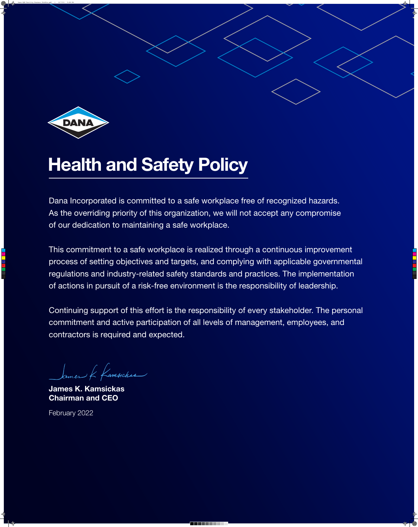

## Health and Safety Policy

Dana Incorporated is committed to a safe workplace free of recognized hazards. As the overriding priority of this organization, we will not accept any compromise of our dedication to maintaining a safe workplace.

This commitment to a safe workplace is realized through a continuous improvement process of setting objectives and targets, and complying with applicable governmental regulations and industry-related safety standards and practices. The implementation of actions in pursuit of a risk-free environment is the responsibility of leadership.

Continuing support of this effort is the responsibility of every stakeholder. The personal commitment and active participation of all levels of management, employees, and contractors is required and expected.

James K Kamsickas

**James K. Kamsickas Chairman and CEO**

February 2022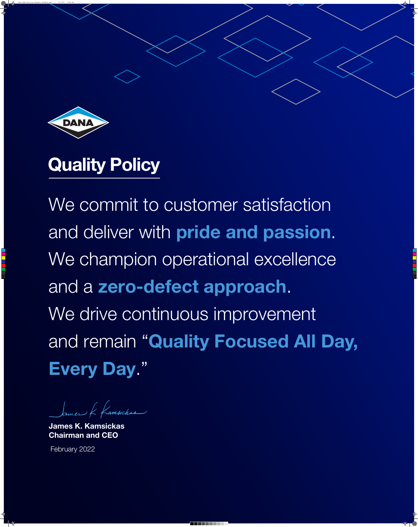

## Quality Policy

We commit to customer satisfaction and deliver with **pride and passion**.

We champion operational excellence and a **zero-defect approach**. We drive continuous improvement and remain "**Quality Focused All Day, Every Day**."

Sames & famsiches

**James K. Kamsickas Chairman and CEO**

February 2022